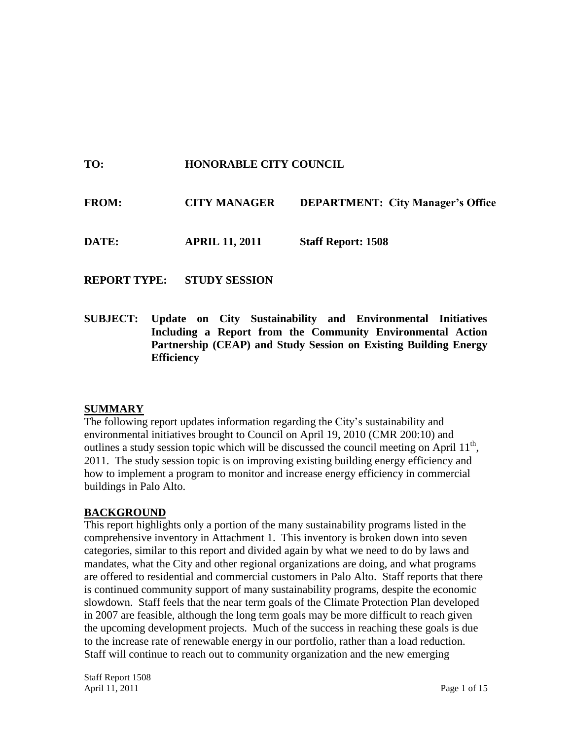# **TO: HONORABLE CITY COUNCIL**

| <b>FROM:</b> | <b>CITY MANAGER</b> | <b>DEPARTMENT: City Manager's Office</b> |
|--------------|---------------------|------------------------------------------|
|              |                     |                                          |

**DATE: APRIL 11, 2011 Staff Report: 1508**

**REPORT TYPE: STUDY SESSION**

**SUBJECT: Update on City Sustainability and Environmental Initiatives Including a Report from the Community Environmental Action Partnership (CEAP) and Study Session on Existing Building Energy Efficiency**

## **SUMMARY**

The following report updates information regarding the City's sustainability and environmental initiatives brought to Council on April 19, 2010 (CMR 200:10) and outlines a study session topic which will be discussed the council meeting on April  $11<sup>th</sup>$ , 2011. The study session topic is on improving existing building energy efficiency and how to implement a program to monitor and increase energy efficiency in commercial buildings in Palo Alto.

## **BACKGROUND**

This report highlights only a portion of the many sustainability programs listed in the comprehensive inventory in Attachment 1. This inventory is broken down into seven categories, similar to this report and divided again by what we need to do by laws and mandates, what the City and other regional organizations are doing, and what programs are offered to residential and commercial customers in Palo Alto. Staff reports that there is continued community support of many sustainability programs, despite the economic slowdown. Staff feels that the near term goals of the Climate Protection Plan developed in 2007 are feasible, although the long term goals may be more difficult to reach given the upcoming development projects. Much of the success in reaching these goals is due to the increase rate of renewable energy in our portfolio, rather than a load reduction. Staff will continue to reach out to community organization and the new emerging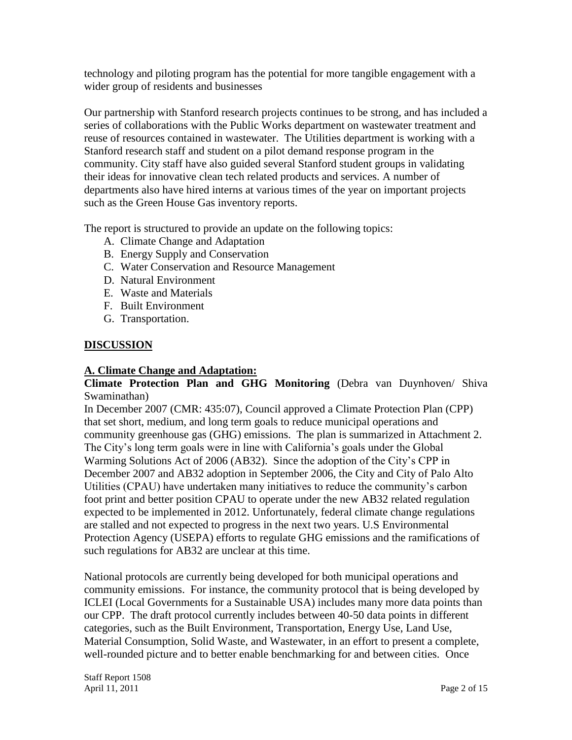technology and piloting program has the potential for more tangible engagement with a wider group of residents and businesses

Our partnership with Stanford research projects continues to be strong, and has included a series of collaborations with the Public Works department on wastewater treatment and reuse of resources contained in wastewater. The Utilities department is working with a Stanford research staff and student on a pilot demand response program in the community. City staff have also guided several Stanford student groups in validating their ideas for innovative clean tech related products and services. A number of departments also have hired interns at various times of the year on important projects such as the Green House Gas inventory reports.

The report is structured to provide an update on the following topics:

- A. Climate Change and Adaptation
- B. Energy Supply and Conservation
- C. Water Conservation and Resource Management
- D. Natural Environment
- E. Waste and Materials
- F. Built Environment
- G. Transportation.

#### **DISCUSSION**

#### **A. Climate Change and Adaptation:**

#### **Climate Protection Plan and GHG Monitoring** (Debra van Duynhoven/ Shiva Swaminathan)

In December 2007 (CMR: 435:07), Council approved a Climate Protection Plan (CPP) that set short, medium, and long term goals to reduce municipal operations and community greenhouse gas (GHG) emissions. The plan is summarized in Attachment 2. The City's long term goals were in line with California's goals under the Global Warming Solutions Act of 2006 (AB32). Since the adoption of the City's CPP in December 2007 and AB32 adoption in September 2006, the City and City of Palo Alto Utilities (CPAU) have undertaken many initiatives to reduce the community's carbon foot print and better position CPAU to operate under the new AB32 related regulation expected to be implemented in 2012. Unfortunately, federal climate change regulations are stalled and not expected to progress in the next two years. U.S Environmental Protection Agency (USEPA) efforts to regulate GHG emissions and the ramifications of such regulations for AB32 are unclear at this time.

National protocols are currently being developed for both municipal operations and community emissions. For instance, the community protocol that is being developed by ICLEI (Local Governments for a Sustainable USA) includes many more data points than our CPP. The draft protocol currently includes between 40-50 data points in different categories, such as the Built Environment, Transportation, Energy Use, Land Use, Material Consumption, Solid Waste, and Wastewater, in an effort to present a complete, well-rounded picture and to better enable benchmarking for and between cities. Once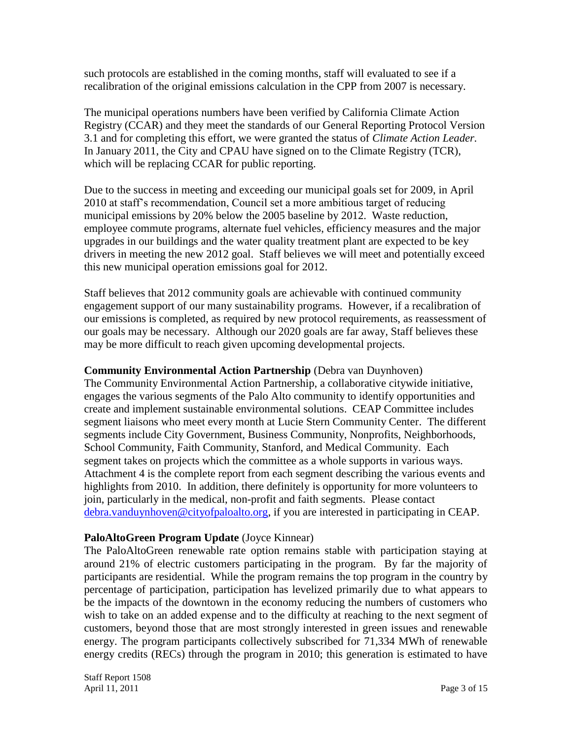such protocols are established in the coming months, staff will evaluated to see if a recalibration of the original emissions calculation in the CPP from 2007 is necessary.

The municipal operations numbers have been verified by California Climate Action Registry (CCAR) and they meet the standards of our General Reporting Protocol Version 3.1 and for completing this effort, we were granted the status of *Climate Action Leader.*  In January 2011, the City and CPAU have signed on to the Climate Registry (TCR), which will be replacing CCAR for public reporting.

Due to the success in meeting and exceeding our municipal goals set for 2009, in April 2010 at staff's recommendation, Council set a more ambitious target of reducing municipal emissions by 20% below the 2005 baseline by 2012. Waste reduction, employee commute programs, alternate fuel vehicles, efficiency measures and the major upgrades in our buildings and the water quality treatment plant are expected to be key drivers in meeting the new 2012 goal. Staff believes we will meet and potentially exceed this new municipal operation emissions goal for 2012.

Staff believes that 2012 community goals are achievable with continued community engagement support of our many sustainability programs. However, if a recalibration of our emissions is completed, as required by new protocol requirements, as reassessment of our goals may be necessary. Although our 2020 goals are far away, Staff believes these may be more difficult to reach given upcoming developmental projects.

**Community Environmental Action Partnership** (Debra van Duynhoven)

The Community Environmental Action Partnership, a collaborative citywide initiative, engages the various segments of the Palo Alto community to identify opportunities and create and implement sustainable environmental solutions. CEAP Committee includes segment liaisons who meet every month at Lucie Stern Community Center. The different segments include City Government, Business Community, Nonprofits, Neighborhoods, School Community, Faith Community, Stanford, and Medical Community. Each segment takes on projects which the committee as a whole supports in various ways. Attachment 4 is the complete report from each segment describing the various events and highlights from 2010. In addition, there definitely is opportunity for more volunteers to join, particularly in the medical, non-profit and faith segments. Please contact [debra.vanduynhoven@cityofpaloalto.org,](mailto:debra.vanduynhoven@cityofpaloalto.org) if you are interested in participating in CEAP.

## **PaloAltoGreen Program Update** (Joyce Kinnear)

The PaloAltoGreen renewable rate option remains stable with participation staying at around 21% of electric customers participating in the program. By far the majority of participants are residential. While the program remains the top program in the country by percentage of participation, participation has levelized primarily due to what appears to be the impacts of the downtown in the economy reducing the numbers of customers who wish to take on an added expense and to the difficulty at reaching to the next segment of customers, beyond those that are most strongly interested in green issues and renewable energy. The program participants collectively subscribed for 71,334 MWh of renewable energy credits (RECs) through the program in 2010; this generation is estimated to have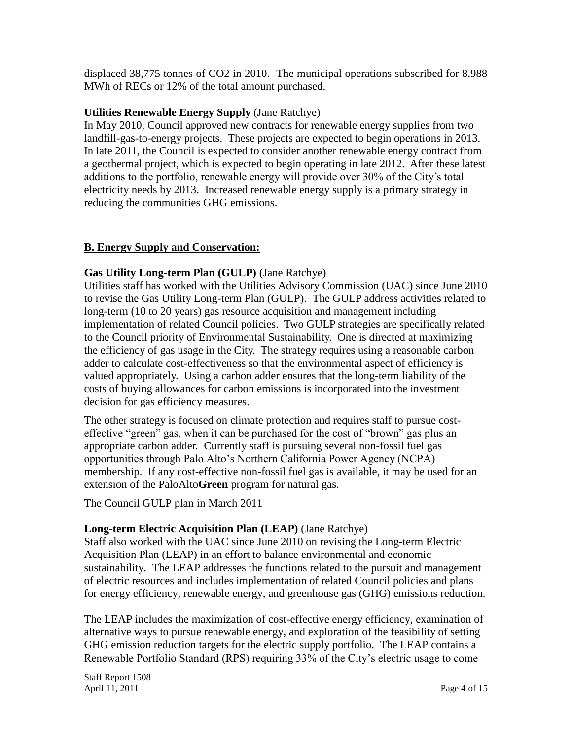displaced 38,775 tonnes of CO2 in 2010. The municipal operations subscribed for 8,988 MWh of RECs or 12% of the total amount purchased.

# **Utilities Renewable Energy Supply** (Jane Ratchye)

In May 2010, Council approved new contracts for renewable energy supplies from two landfill-gas-to-energy projects. These projects are expected to begin operations in 2013. In late 2011, the Council is expected to consider another renewable energy contract from a geothermal project, which is expected to begin operating in late 2012. After these latest additions to the portfolio, renewable energy will provide over 30% of the City's total electricity needs by 2013. Increased renewable energy supply is a primary strategy in reducing the communities GHG emissions.

## **B. Energy Supply and Conservation:**

# **Gas Utility Long-term Plan (GULP)** (Jane Ratchye)

Utilities staff has worked with the Utilities Advisory Commission (UAC) since June 2010 to revise the Gas Utility Long-term Plan (GULP). The GULP address activities related to long-term (10 to 20 years) gas resource acquisition and management including implementation of related Council policies. Two GULP strategies are specifically related to the Council priority of Environmental Sustainability. One is directed at maximizing the efficiency of gas usage in the City. The strategy requires using a reasonable carbon adder to calculate cost-effectiveness so that the environmental aspect of efficiency is valued appropriately. Using a carbon adder ensures that the long-term liability of the costs of buying allowances for carbon emissions is incorporated into the investment decision for gas efficiency measures.

The other strategy is focused on climate protection and requires staff to pursue costeffective "green" gas, when it can be purchased for the cost of "brown" gas plus an appropriate carbon adder. Currently staff is pursuing several non-fossil fuel gas opportunities through Palo Alto's Northern California Power Agency (NCPA) membership. If any cost-effective non-fossil fuel gas is available, it may be used for an extension of the PaloAlto**Green** program for natural gas.

The Council GULP plan in March 2011

## **Long-term Electric Acquisition Plan (LEAP)** (Jane Ratchye)

Staff also worked with the UAC since June 2010 on revising the Long-term Electric Acquisition Plan (LEAP) in an effort to balance environmental and economic sustainability. The LEAP addresses the functions related to the pursuit and management of electric resources and includes implementation of related Council policies and plans for energy efficiency, renewable energy, and greenhouse gas (GHG) emissions reduction.

The LEAP includes the maximization of cost-effective energy efficiency, examination of alternative ways to pursue renewable energy, and exploration of the feasibility of setting GHG emission reduction targets for the electric supply portfolio. The LEAP contains a Renewable Portfolio Standard (RPS) requiring 33% of the City's electric usage to come

Staff Report 1508 April 11, 2011 **Page 4 of 15**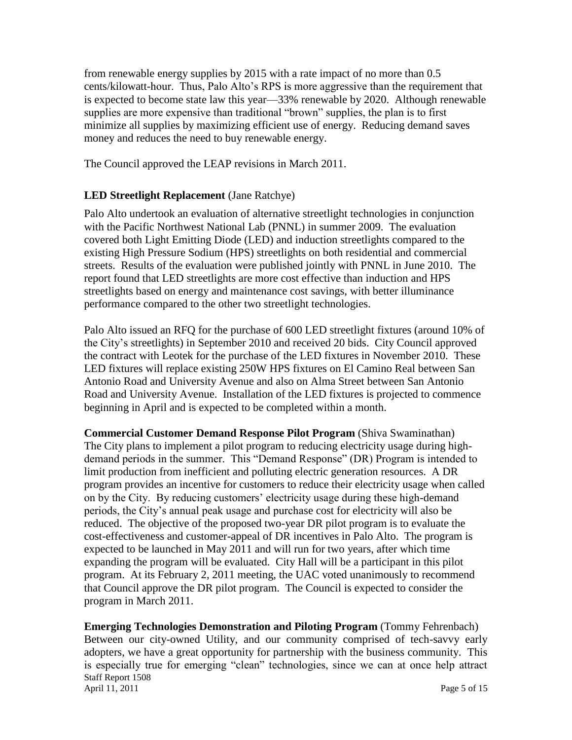from renewable energy supplies by 2015 with a rate impact of no more than 0.5 cents/kilowatt-hour. Thus, Palo Alto's RPS is more aggressive than the requirement that is expected to become state law this year—33% renewable by 2020. Although renewable supplies are more expensive than traditional "brown" supplies, the plan is to first minimize all supplies by maximizing efficient use of energy. Reducing demand saves money and reduces the need to buy renewable energy.

The Council approved the LEAP revisions in March 2011.

# **LED Streetlight Replacement** (Jane Ratchye)

Palo Alto undertook an evaluation of alternative streetlight technologies in conjunction with the Pacific Northwest National Lab (PNNL) in summer 2009. The evaluation covered both Light Emitting Diode (LED) and induction streetlights compared to the existing High Pressure Sodium (HPS) streetlights on both residential and commercial streets. Results of the evaluation were published jointly with PNNL in June 2010. The report found that LED streetlights are more cost effective than induction and HPS streetlights based on energy and maintenance cost savings, with better illuminance performance compared to the other two streetlight technologies.

Palo Alto issued an RFQ for the purchase of 600 LED streetlight fixtures (around 10% of the City's streetlights) in September 2010 and received 20 bids. City Council approved the contract with Leotek for the purchase of the LED fixtures in November 2010. These LED fixtures will replace existing 250W HPS fixtures on El Camino Real between San Antonio Road and University Avenue and also on Alma Street between San Antonio Road and University Avenue. Installation of the LED fixtures is projected to commence beginning in April and is expected to be completed within a month.

**Commercial Customer Demand Response Pilot Program** (Shiva Swaminathan) The City plans to implement a pilot program to reducing electricity usage during highdemand periods in the summer. This "Demand Response" (DR) Program is intended to limit production from inefficient and polluting electric generation resources. A DR program provides an incentive for customers to reduce their electricity usage when called on by the City. By reducing customers' electricity usage during these high-demand periods, the City's annual peak usage and purchase cost for electricity will also be reduced. The objective of the proposed two-year DR pilot program is to evaluate the cost-effectiveness and customer-appeal of DR incentives in Palo Alto. The program is expected to be launched in May 2011 and will run for two years, after which time expanding the program will be evaluated. City Hall will be a participant in this pilot program. At its February 2, 2011 meeting, the UAC voted unanimously to recommend that Council approve the DR pilot program. The Council is expected to consider the program in March 2011.

Staff Report 1508 April 11, 2011 **Page 5 of 15 Emerging Technologies Demonstration and Piloting Program** (Tommy Fehrenbach) Between our city-owned Utility, and our community comprised of tech-savvy early adopters, we have a great opportunity for partnership with the business community. This is especially true for emerging "clean" technologies, since we can at once help attract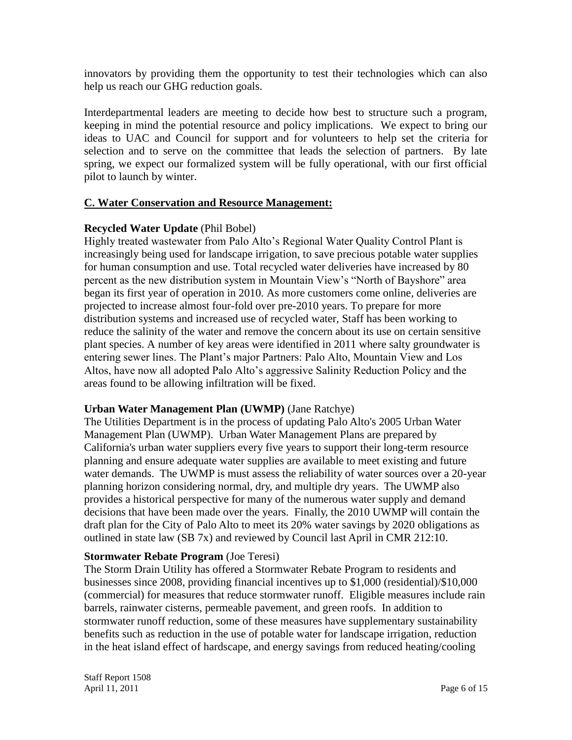innovators by providing them the opportunity to test their technologies which can also help us reach our GHG reduction goals.

Interdepartmental leaders are meeting to decide how best to structure such a program, keeping in mind the potential resource and policy implications. We expect to bring our ideas to UAC and Council for support and for volunteers to help set the criteria for selection and to serve on the committee that leads the selection of partners. By late spring, we expect our formalized system will be fully operational, with our first official pilot to launch by winter.

#### **C. Water Conservation and Resource Management:**

#### **Recycled Water Update** (Phil Bobel)

Highly treated wastewater from Palo Alto's Regional Water Quality Control Plant is increasingly being used for landscape irrigation, to save precious potable water supplies for human consumption and use. Total recycled water deliveries have increased by 80 percent as the new distribution system in Mountain View's "North of Bayshore" area began its first year of operation in 2010. As more customers come online, deliveries are projected to increase almost four-fold over pre-2010 years. To prepare for more distribution systems and increased use of recycled water, Staff has been working to reduce the salinity of the water and remove the concern about its use on certain sensitive plant species. A number of key areas were identified in 2011 where salty groundwater is entering sewer lines. The Plant's major Partners: Palo Alto, Mountain View and Los Altos, have now all adopted Palo Alto's aggressive Salinity Reduction Policy and the areas found to be allowing infiltration will be fixed.

#### **Urban Water Management Plan (UWMP)** (Jane Ratchye)

The Utilities Department is in the process of updating Palo Alto's 2005 Urban Water Management Plan (UWMP). Urban Water Management Plans are prepared by California's urban water suppliers every five years to support their long-term resource planning and ensure adequate water supplies are available to meet existing and future water demands. The UWMP is must assess the reliability of water sources over a 20-year planning horizon considering normal, dry, and multiple dry years. The UWMP also provides a historical perspective for many of the numerous water supply and demand decisions that have been made over the years. Finally, the 2010 UWMP will contain the draft plan for the City of Palo Alto to meet its 20% water savings by 2020 obligations as outlined in state law (SB 7x) and reviewed by Council last April in CMR 212:10.

#### **Stormwater Rebate Program** (Joe Teresi)

The Storm Drain Utility has offered a Stormwater Rebate Program to residents and businesses since 2008, providing financial incentives up to \$1,000 (residential)/\$10,000 (commercial) for measures that reduce stormwater runoff. Eligible measures include rain barrels, rainwater cisterns, permeable pavement, and green roofs. In addition to stormwater runoff reduction, some of these measures have supplementary sustainability benefits such as reduction in the use of potable water for landscape irrigation, reduction in the heat island effect of hardscape, and energy savings from reduced heating/cooling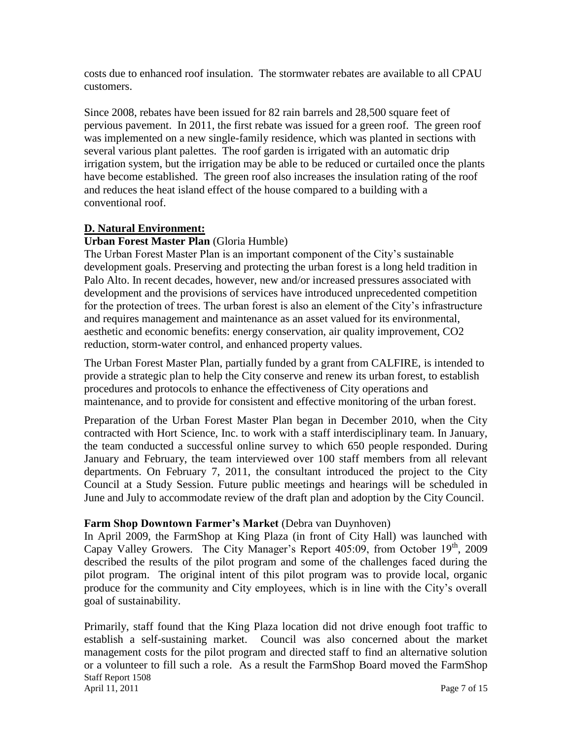costs due to enhanced roof insulation. The stormwater rebates are available to all CPAU customers.

Since 2008, rebates have been issued for 82 rain barrels and 28,500 square feet of pervious pavement. In 2011, the first rebate was issued for a green roof. The green roof was implemented on a new single-family residence, which was planted in sections with several various plant palettes. The roof garden is irrigated with an automatic drip irrigation system, but the irrigation may be able to be reduced or curtailed once the plants have become established. The green roof also increases the insulation rating of the roof and reduces the heat island effect of the house compared to a building with a conventional roof.

# **D. Natural Environment:**

## **Urban Forest Master Plan** (Gloria Humble)

The Urban Forest Master Plan is an important component of the City's sustainable development goals. Preserving and protecting the urban forest is a long held tradition in Palo Alto. In recent decades, however, new and/or increased pressures associated with development and the provisions of services have introduced unprecedented competition for the protection of trees. The urban forest is also an element of the City's infrastructure and requires management and maintenance as an asset valued for its environmental, aesthetic and economic benefits: energy conservation, air quality improvement, CO2 reduction, storm-water control, and enhanced property values.

The Urban Forest Master Plan, partially funded by a grant from CALFIRE, is intended to provide a strategic plan to help the City conserve and renew its urban forest, to establish procedures and protocols to enhance the effectiveness of City operations and maintenance, and to provide for consistent and effective monitoring of the urban forest.

Preparation of the Urban Forest Master Plan began in December 2010, when the City contracted with Hort Science, Inc. to work with a staff interdisciplinary team. In January, the team conducted a successful online survey to which 650 people responded. During January and February, the team interviewed over 100 staff members from all relevant departments. On February 7, 2011, the consultant introduced the project to the City Council at a Study Session. Future public meetings and hearings will be scheduled in June and July to accommodate review of the draft plan and adoption by the City Council.

## **Farm Shop Downtown Farmer's Market** (Debra van Duynhoven)

In April 2009, the FarmShop at King Plaza (in front of City Hall) was launched with Capay Valley Growers. The City Manager's Report  $405:09$ , from October  $19<sup>th</sup>$ , 2009 described the results of the pilot program and some of the challenges faced during the pilot program. The original intent of this pilot program was to provide local, organic produce for the community and City employees, which is in line with the City's overall goal of sustainability.

Staff Report 1508 April 11, 2011 **Page 7 of 15** Primarily, staff found that the King Plaza location did not drive enough foot traffic to establish a self-sustaining market. Council was also concerned about the market management costs for the pilot program and directed staff to find an alternative solution or a volunteer to fill such a role. As a result the FarmShop Board moved the FarmShop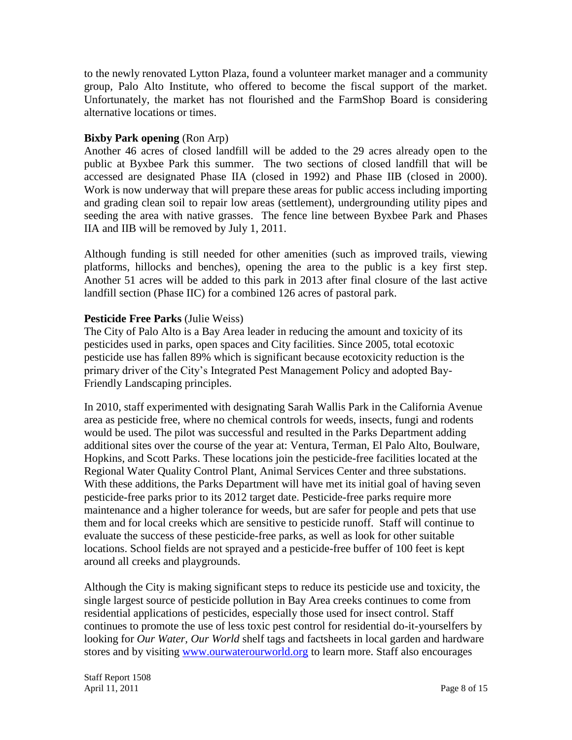to the newly renovated Lytton Plaza, found a volunteer market manager and a community group, Palo Alto Institute, who offered to become the fiscal support of the market. Unfortunately, the market has not flourished and the FarmShop Board is considering alternative locations or times.

#### **Bixby Park opening (Ron Arp)**

Another 46 acres of closed landfill will be added to the 29 acres already open to the public at Byxbee Park this summer. The two sections of closed landfill that will be accessed are designated Phase IIA (closed in 1992) and Phase IIB (closed in 2000). Work is now underway that will prepare these areas for public access including importing and grading clean soil to repair low areas (settlement), undergrounding utility pipes and seeding the area with native grasses. The fence line between Byxbee Park and Phases IIA and IIB will be removed by July 1, 2011.

Although funding is still needed for other amenities (such as improved trails, viewing platforms, hillocks and benches), opening the area to the public is a key first step. Another 51 acres will be added to this park in 2013 after final closure of the last active landfill section (Phase IIC) for a combined 126 acres of pastoral park.

#### **Pesticide Free Parks** (Julie Weiss)

The City of Palo Alto is a Bay Area leader in reducing the amount and toxicity of its pesticides used in parks, open spaces and City facilities. Since 2005, total ecotoxic pesticide use has fallen 89% which is significant because ecotoxicity reduction is the primary driver of the City's Integrated Pest Management Policy and adopted Bay-Friendly Landscaping principles.

In 2010, staff experimented with designating Sarah Wallis Park in the California Avenue area as pesticide free, where no chemical controls for weeds, insects, fungi and rodents would be used. The pilot was successful and resulted in the Parks Department adding additional sites over the course of the year at: Ventura, Terman, El Palo Alto, Boulware, Hopkins, and Scott Parks. These locations join the pesticide-free facilities located at the Regional Water Quality Control Plant, Animal Services Center and three substations. With these additions, the Parks Department will have met its initial goal of having seven pesticide-free parks prior to its 2012 target date. Pesticide-free parks require more maintenance and a higher tolerance for weeds, but are safer for people and pets that use them and for local creeks which are sensitive to pesticide runoff. Staff will continue to evaluate the success of these pesticide-free parks, as well as look for other suitable locations. School fields are not sprayed and a pesticide-free buffer of 100 feet is kept around all creeks and playgrounds.

Although the City is making significant steps to reduce its pesticide use and toxicity, the single largest source of pesticide pollution in Bay Area creeks continues to come from residential applications of pesticides, especially those used for insect control. Staff continues to promote the use of less toxic pest control for residential do-it-yourselfers by looking for *Our Water, Our World* shelf tags and factsheets in local garden and hardware stores and by visiting [www.ourwaterourworld.org](http://www.ourwaterourworld.org/) to learn more. Staff also encourages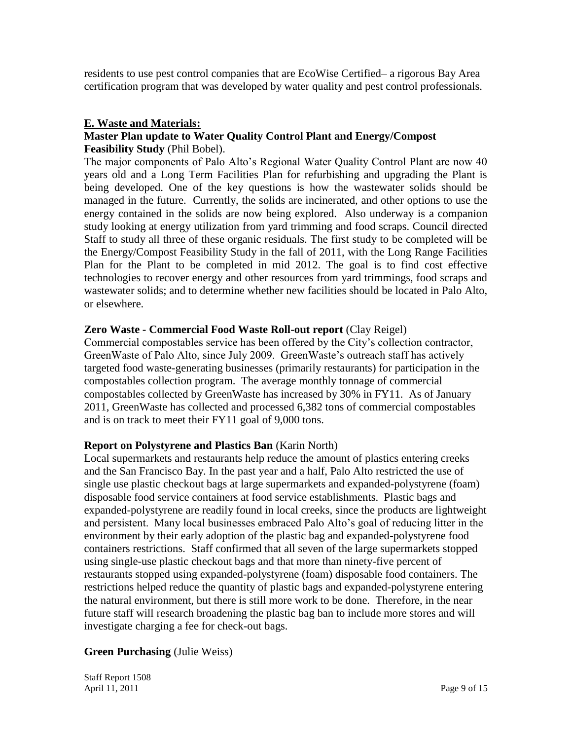residents to use pest control companies that are EcoWise Certified– a rigorous Bay Area certification program that was developed by water quality and pest control professionals.

#### **E. Waste and Materials:**

#### **Master Plan update to Water Quality Control Plant and Energy/Compost Feasibility Study** (Phil Bobel).

The major components of Palo Alto's Regional Water Quality Control Plant are now 40 years old and a Long Term Facilities Plan for refurbishing and upgrading the Plant is being developed. One of the key questions is how the wastewater solids should be managed in the future. Currently, the solids are incinerated, and other options to use the energy contained in the solids are now being explored. Also underway is a companion study looking at energy utilization from yard trimming and food scraps. Council directed Staff to study all three of these organic residuals. The first study to be completed will be the Energy/Compost Feasibility Study in the fall of 2011, with the Long Range Facilities Plan for the Plant to be completed in mid 2012. The goal is to find cost effective technologies to recover energy and other resources from yard trimmings, food scraps and wastewater solids; and to determine whether new facilities should be located in Palo Alto, or elsewhere.

#### **Zero Waste - Commercial Food Waste Roll-out report** (Clay Reigel)

Commercial compostables service has been offered by the City's collection contractor, GreenWaste of Palo Alto, since July 2009. GreenWaste's outreach staff has actively targeted food waste-generating businesses (primarily restaurants) for participation in the compostables collection program. The average monthly tonnage of commercial compostables collected by GreenWaste has increased by 30% in FY11. As of January 2011, GreenWaste has collected and processed 6,382 tons of commercial compostables and is on track to meet their FY11 goal of 9,000 tons.

## **Report on Polystyrene and Plastics Ban** (Karin North)

Local supermarkets and restaurants help reduce the amount of plastics entering creeks and the San Francisco Bay. In the past year and a half, Palo Alto restricted the use of single use plastic checkout bags at large supermarkets and expanded-polystyrene (foam) disposable food service containers at food service establishments. Plastic bags and expanded-polystyrene are readily found in local creeks, since the products are lightweight and persistent. Many local businesses embraced Palo Alto's goal of reducing litter in the environment by their early adoption of the plastic bag and expanded-polystyrene food containers restrictions. Staff confirmed that all seven of the large supermarkets stopped using single-use plastic checkout bags and that more than ninety-five percent of restaurants stopped using expanded-polystyrene (foam) disposable food containers. The restrictions helped reduce the quantity of plastic bags and expanded-polystyrene entering the natural environment, but there is still more work to be done. Therefore, in the near future staff will research broadening the plastic bag ban to include more stores and will investigate charging a fee for check-out bags.

#### **Green Purchasing** (Julie Weiss)

Staff Report 1508 April 11, 2011 **Page 9 of 15**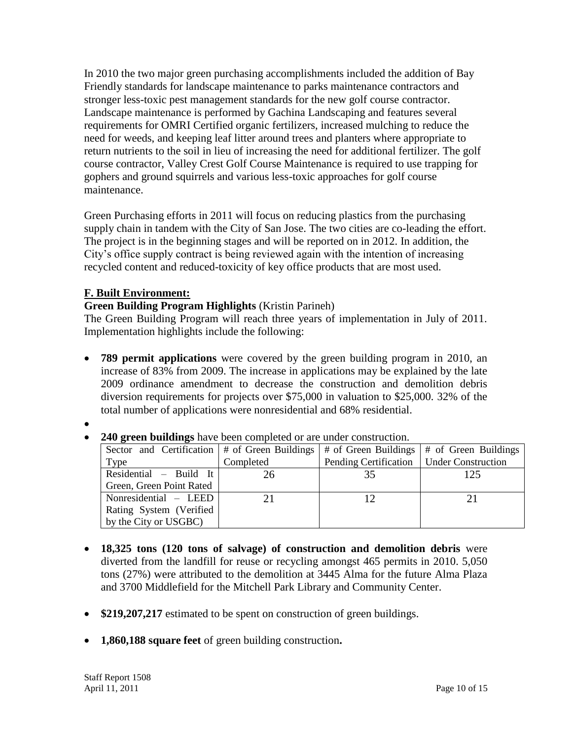In 2010 the two major green purchasing accomplishments included the addition of Bay Friendly standards for landscape maintenance to parks maintenance contractors and stronger less-toxic pest management standards for the new golf course contractor. Landscape maintenance is performed by Gachina Landscaping and features several requirements for OMRI Certified organic fertilizers, increased mulching to reduce the need for weeds, and keeping leaf litter around trees and planters where appropriate to return nutrients to the soil in lieu of increasing the need for additional fertilizer. The golf course contractor, Valley Crest Golf Course Maintenance is required to use trapping for gophers and ground squirrels and various less-toxic approaches for golf course maintenance.

Green Purchasing efforts in 2011 will focus on reducing plastics from the purchasing supply chain in tandem with the City of San Jose. The two cities are co-leading the effort. The project is in the beginning stages and will be reported on in 2012. In addition, the City's office supply contract is being reviewed again with the intention of increasing recycled content and reduced-toxicity of key office products that are most used.

# **F. Built Environment:**

**Green Building Program Highlights** (Kristin Parineh)

The Green Building Program will reach three years of implementation in July of 2011. Implementation highlights include the following:

 **789 permit applications** were covered by the green building program in 2010, an increase of 83% from 2009. The increase in applications may be explained by the late 2009 ordinance amendment to decrease the construction and demolition debris diversion requirements for projects over \$75,000 in valuation to \$25,000. 32% of the total number of applications were nonresidential and 68% residential.

 $\bullet$ 

 **240 green buildings** have been completed or are under construction. Sector and Certification Type # of Green Buildings Completed # of Green Buildings Pending Certification

| Sector and Certification $ $ # of Green Buildings |           | # of Green Buildings   # of Green Buildings |     |
|---------------------------------------------------|-----------|---------------------------------------------|-----|
| Type                                              | Completed | Pending Certification   Under Construction  |     |
| Residential $-$ Build It                          | 26        | 35                                          | 125 |
| Green, Green Point Rated                          |           |                                             |     |
| Nonresidential - LEED                             |           |                                             |     |
| Rating System (Verified                           |           |                                             |     |
| by the City or USGBC)                             |           |                                             |     |

- **18,325 tons (120 tons of salvage) of construction and demolition debris** were diverted from the landfill for reuse or recycling amongst 465 permits in 2010. 5,050 tons (27%) were attributed to the demolition at 3445 Alma for the future Alma Plaza and 3700 Middlefield for the Mitchell Park Library and Community Center.
- \$219,207,217 estimated to be spent on construction of green buildings.
- **1,860,188 square feet** of green building construction**.**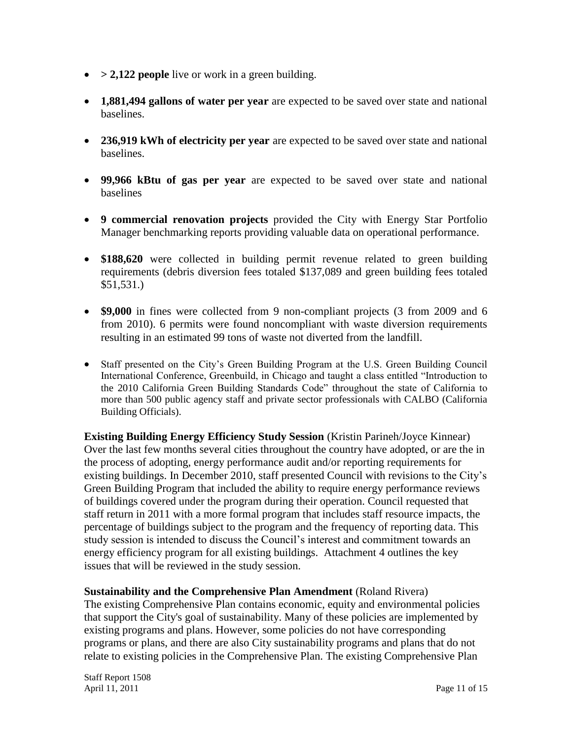- > 2,122 people live or work in a green building.
- **1,881,494 gallons of water per year** are expected to be saved over state and national baselines.
- **236,919 kWh of electricity per year** are expected to be saved over state and national baselines.
- **99,966 kBtu of gas per year** are expected to be saved over state and national baselines
- **9 commercial renovation projects** provided the City with Energy Star Portfolio Manager benchmarking reports providing valuable data on operational performance.
- **\$188,620** were collected in building permit revenue related to green building requirements (debris diversion fees totaled \$137,089 and green building fees totaled \$51,531.)
- **\$9,000** in fines were collected from 9 non-compliant projects (3 from 2009 and 6 from 2010). 6 permits were found noncompliant with waste diversion requirements resulting in an estimated 99 tons of waste not diverted from the landfill.
- Staff presented on the City's Green Building Program at the U.S. Green Building Council International Conference, Greenbuild, in Chicago and taught a class entitled "Introduction to the 2010 California Green Building Standards Code" throughout the state of California to more than 500 public agency staff and private sector professionals with CALBO (California Building Officials).

**Existing Building Energy Efficiency Study Session** (Kristin Parineh/Joyce Kinnear) Over the last few months several cities throughout the country have adopted, or are the in the process of adopting, energy performance audit and/or reporting requirements for existing buildings. In December 2010, staff presented Council with revisions to the City's Green Building Program that included the ability to require energy performance reviews of buildings covered under the program during their operation. Council requested that staff return in 2011 with a more formal program that includes staff resource impacts, the percentage of buildings subject to the program and the frequency of reporting data. This study session is intended to discuss the Council's interest and commitment towards an energy efficiency program for all existing buildings. Attachment 4 outlines the key issues that will be reviewed in the study session.

**Sustainability and the Comprehensive Plan Amendment** (Roland Rivera)

The existing Comprehensive Plan contains economic, equity and environmental policies that support the City's goal of sustainability. Many of these policies are implemented by existing programs and plans. However, some policies do not have corresponding programs or plans, and there are also City sustainability programs and plans that do not relate to existing policies in the Comprehensive Plan. The existing Comprehensive Plan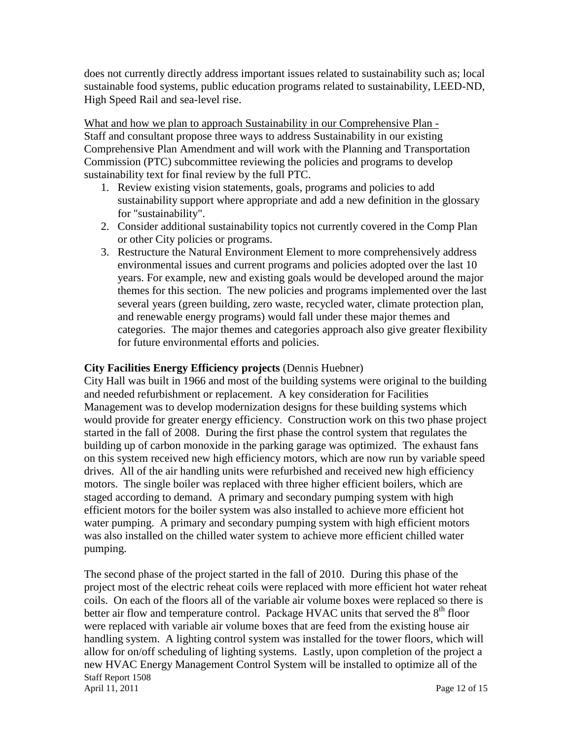does not currently directly address important issues related to sustainability such as; local sustainable food systems, public education programs related to sustainability, LEED-ND, High Speed Rail and sea-level rise.

What and how we plan to approach Sustainability in our Comprehensive Plan -Staff and consultant propose three ways to address Sustainability in our existing Comprehensive Plan Amendment and will work with the Planning and Transportation Commission (PTC) subcommittee reviewing the policies and programs to develop sustainability text for final review by the full PTC.

- 1. Review existing vision statements, goals, programs and policies to add sustainability support where appropriate and add a new definition in the glossary for "sustainability".
- 2. Consider additional sustainability topics not currently covered in the Comp Plan or other City policies or programs.
- 3. Restructure the Natural Environment Element to more comprehensively address environmental issues and current programs and policies adopted over the last 10 years. For example, new and existing goals would be developed around the major themes for this section. The new policies and programs implemented over the last several years (green building, zero waste, recycled water, climate protection plan, and renewable energy programs) would fall under these major themes and categories. The major themes and categories approach also give greater flexibility for future environmental efforts and policies.

#### **City Facilities Energy Efficiency projects** (Dennis Huebner)

City Hall was built in 1966 and most of the building systems were original to the building and needed refurbishment or replacement. A key consideration for Facilities Management was to develop modernization designs for these building systems which would provide for greater energy efficiency. Construction work on this two phase project started in the fall of 2008. During the first phase the control system that regulates the building up of carbon monoxide in the parking garage was optimized. The exhaust fans on this system received new high efficiency motors, which are now run by variable speed drives. All of the air handling units were refurbished and received new high efficiency motors. The single boiler was replaced with three higher efficient boilers, which are staged according to demand. A primary and secondary pumping system with high efficient motors for the boiler system was also installed to achieve more efficient hot water pumping. A primary and secondary pumping system with high efficient motors was also installed on the chilled water system to achieve more efficient chilled water pumping.

Staff Report 1508 April 11, 2011 **Page 12 of 15** The second phase of the project started in the fall of 2010. During this phase of the project most of the electric reheat coils were replaced with more efficient hot water reheat coils. On each of the floors all of the variable air volume boxes were replaced so there is better air flow and temperature control. Package HVAC units that served the  $8<sup>th</sup>$  floor were replaced with variable air volume boxes that are feed from the existing house air handling system. A lighting control system was installed for the tower floors, which will allow for on/off scheduling of lighting systems. Lastly, upon completion of the project a new HVAC Energy Management Control System will be installed to optimize all of the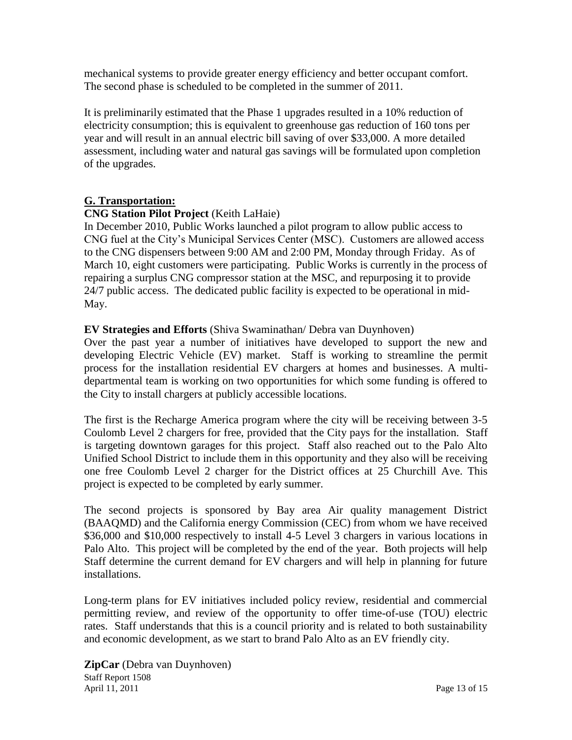mechanical systems to provide greater energy efficiency and better occupant comfort. The second phase is scheduled to be completed in the summer of 2011.

It is preliminarily estimated that the Phase 1 upgrades resulted in a 10% reduction of electricity consumption; this is equivalent to greenhouse gas reduction of 160 tons per year and will result in an annual electric bill saving of over \$33,000. A more detailed assessment, including water and natural gas savings will be formulated upon completion of the upgrades.

## **G. Transportation:**

## **CNG Station Pilot Project** (Keith LaHaie)

In December 2010, Public Works launched a pilot program to allow public access to CNG fuel at the City's Municipal Services Center (MSC). Customers are allowed access to the CNG dispensers between 9:00 AM and 2:00 PM, Monday through Friday. As of March 10, eight customers were participating. Public Works is currently in the process of repairing a surplus CNG compressor station at the MSC, and repurposing it to provide 24/7 public access. The dedicated public facility is expected to be operational in mid-May.

## **EV Strategies and Efforts** (Shiva Swaminathan/ Debra van Duynhoven)

Over the past year a number of initiatives have developed to support the new and developing Electric Vehicle (EV) market. Staff is working to streamline the permit process for the installation residential EV chargers at homes and businesses. A multidepartmental team is working on two opportunities for which some funding is offered to the City to install chargers at publicly accessible locations.

The first is the Recharge America program where the city will be receiving between 3-5 Coulomb Level 2 chargers for free, provided that the City pays for the installation. Staff is targeting downtown garages for this project. Staff also reached out to the Palo Alto Unified School District to include them in this opportunity and they also will be receiving one free Coulomb Level 2 charger for the District offices at 25 Churchill Ave. This project is expected to be completed by early summer.

The second projects is sponsored by Bay area Air quality management District (BAAQMD) and the California energy Commission (CEC) from whom we have received \$36,000 and \$10,000 respectively to install 4-5 Level 3 chargers in various locations in Palo Alto. This project will be completed by the end of the year. Both projects will help Staff determine the current demand for EV chargers and will help in planning for future installations.

Long-term plans for EV initiatives included policy review, residential and commercial permitting review, and review of the opportunity to offer time-of-use (TOU) electric rates. Staff understands that this is a council priority and is related to both sustainability and economic development, as we start to brand Palo Alto as an EV friendly city.

Staff Report 1508 April 11, 2011 **Page 13 of 15 ZipCar** (Debra van Duynhoven)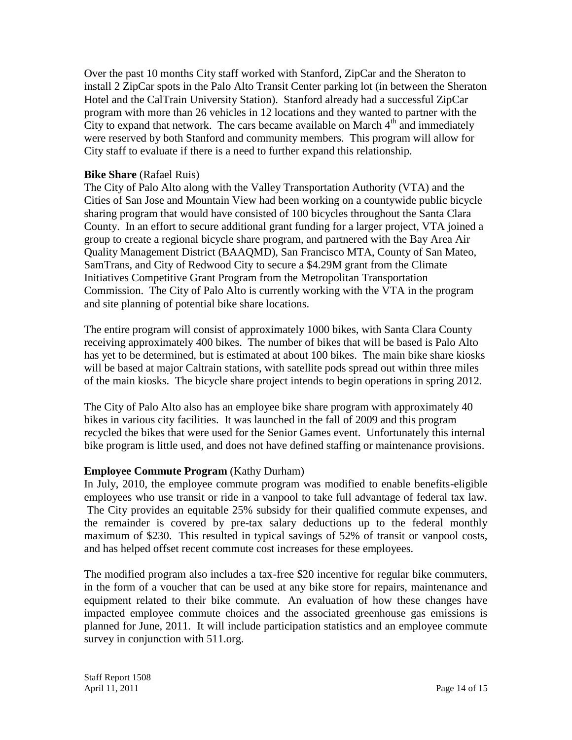Over the past 10 months City staff worked with Stanford, ZipCar and the Sheraton to install 2 ZipCar spots in the Palo Alto Transit Center parking lot (in between the Sheraton Hotel and the CalTrain University Station). Stanford already had a successful ZipCar program with more than 26 vehicles in 12 locations and they wanted to partner with the City to expand that network. The cars became available on March  $4<sup>th</sup>$  and immediately were reserved by both Stanford and community members. This program will allow for City staff to evaluate if there is a need to further expand this relationship.

#### **Bike Share** (Rafael Ruis)

The City of Palo Alto along with the Valley Transportation Authority (VTA) and the Cities of San Jose and Mountain View had been working on a countywide public bicycle sharing program that would have consisted of 100 bicycles throughout the Santa Clara County. In an effort to secure additional grant funding for a larger project, VTA joined a group to create a regional bicycle share program, and partnered with the Bay Area Air Quality Management District (BAAQMD), San Francisco MTA, County of San Mateo, SamTrans, and City of Redwood City to secure a \$4.29M grant from the Climate Initiatives Competitive Grant Program from the Metropolitan Transportation Commission. The City of Palo Alto is currently working with the VTA in the program and site planning of potential bike share locations.

The entire program will consist of approximately 1000 bikes, with Santa Clara County receiving approximately 400 bikes. The number of bikes that will be based is Palo Alto has yet to be determined, but is estimated at about 100 bikes. The main bike share kiosks will be based at major Caltrain stations, with satellite pods spread out within three miles of the main kiosks. The bicycle share project intends to begin operations in spring 2012.

The City of Palo Alto also has an employee bike share program with approximately 40 bikes in various city facilities. It was launched in the fall of 2009 and this program recycled the bikes that were used for the Senior Games event. Unfortunately this internal bike program is little used, and does not have defined staffing or maintenance provisions.

## **Employee Commute Program** (Kathy Durham)

In July, 2010, the employee commute program was modified to enable benefits-eligible employees who use transit or ride in a vanpool to take full advantage of federal tax law. The City provides an equitable 25% subsidy for their qualified commute expenses, and the remainder is covered by pre-tax salary deductions up to the federal monthly maximum of \$230. This resulted in typical savings of 52% of transit or vanpool costs, and has helped offset recent commute cost increases for these employees.

The modified program also includes a tax-free \$20 incentive for regular bike commuters, in the form of a voucher that can be used at any bike store for repairs, maintenance and equipment related to their bike commute. An evaluation of how these changes have impacted employee commute choices and the associated greenhouse gas emissions is planned for June, 2011. It will include participation statistics and an employee commute survey in conjunction with 511.org.